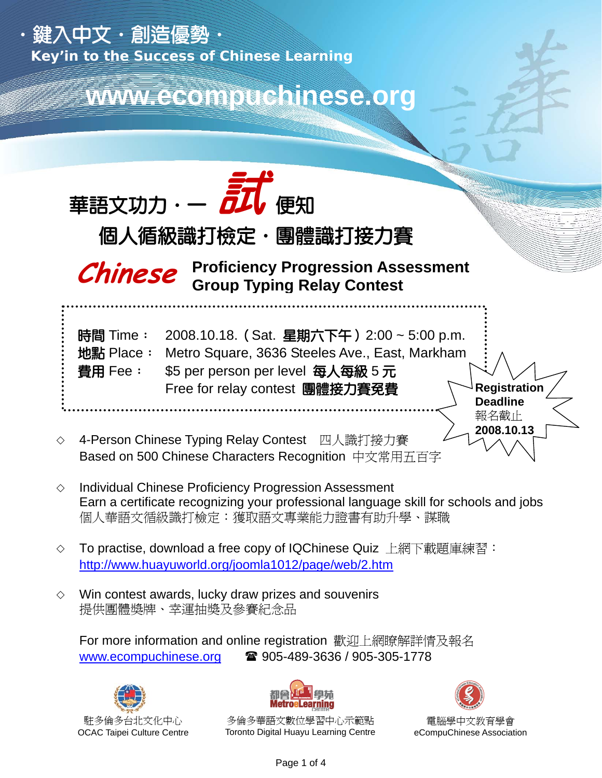

 $\diamond$  Win contest awards, lucky draw prizes and souvenirs 提供團體獎牌、幸運抽獎及參賽紀念品

 For more information and online registration 歡迎上網瞭解詳情及報名 www.ecompuchinese.org  $\qquad \qquad \blacksquare$  905-489-3636 / 905-305-1778





多倫多華語文數位學習中心示範點 Toronto Digital Huayu Learning Centre



電腦學中文教育學會 eCompuChinese Association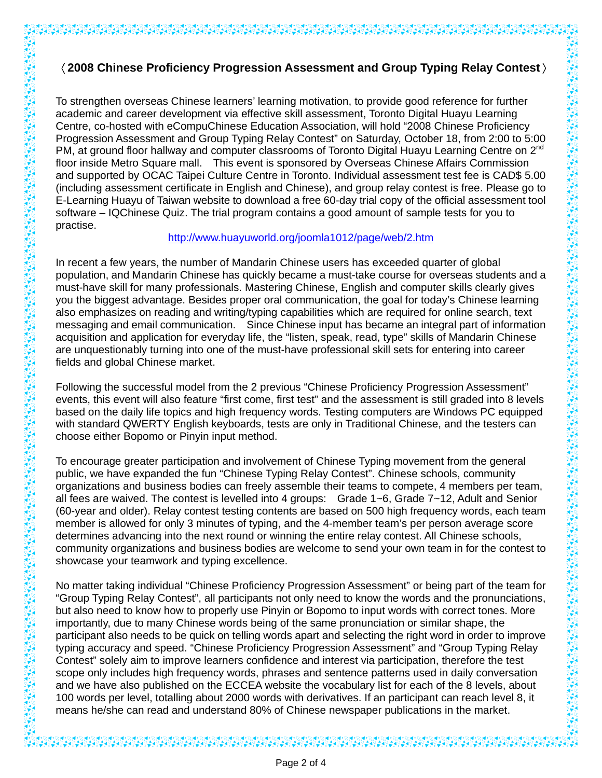# 〈**2008 Chinese Proficiency Progression Assessment and Group Typing Relay Contest**〉

To strengthen overseas Chinese learners' learning motivation, to provide good reference for further academic and career development via effective skill assessment, Toronto Digital Huayu Learning Centre, co-hosted with eCompuChinese Education Association, will hold "2008 Chinese Proficiency Progression Assessment and Group Typing Relay Contest" on Saturday, October 18, from 2:00 to 5:00 PM, at ground floor hallway and computer classrooms of Toronto Digital Huayu Learning Centre on 2<sup>nd</sup> floor inside Metro Square mall. This event is sponsored by Overseas Chinese Affairs Commission and supported by OCAC Taipei Culture Centre in Toronto. Individual assessment test fee is CAD\$ 5.00 (including assessment certificate in English and Chinese), and group relay contest is free. Please go to E-Learning Huayu of Taiwan website to download a free 60-day trial copy of the official assessment tool software – IQChinese Quiz. The trial program contains a good amount of sample tests for you to practise.

#### http://www.huayuworld.org/joomla1012/page/web/2.htm

In recent a few years, the number of Mandarin Chinese users has exceeded quarter of global population, and Mandarin Chinese has quickly became a must-take course for overseas students and a must-have skill for many professionals. Mastering Chinese, English and computer skills clearly gives you the biggest advantage. Besides proper oral communication, the goal for today's Chinese learning also emphasizes on reading and writing/typing capabilities which are required for online search, text messaging and email communication. Since Chinese input has became an integral part of information acquisition and application for everyday life, the "listen, speak, read, type" skills of Mandarin Chinese are unquestionably turning into one of the must-have professional skill sets for entering into career fields and global Chinese market.

Following the successful model from the 2 previous "Chinese Proficiency Progression Assessment" events, this event will also feature "first come, first test" and the assessment is still graded into 8 levels based on the daily life topics and high frequency words. Testing computers are Windows PC equipped with standard QWERTY English keyboards, tests are only in Traditional Chinese, and the testers can choose either Bopomo or Pinyin input method.

To encourage greater participation and involvement of Chinese Typing movement from the general public, we have expanded the fun "Chinese Typing Relay Contest". Chinese schools, community organizations and business bodies can freely assemble their teams to compete, 4 members per team, all fees are waived. The contest is levelled into 4 groups: Grade 1~6, Grade 7~12, Adult and Senior (60-year and older). Relay contest testing contents are based on 500 high frequency words, each team member is allowed for only 3 minutes of typing, and the 4-member team's per person average score determines advancing into the next round or winning the entire relay contest. All Chinese schools, community organizations and business bodies are welcome to send your own team in for the contest to showcase your teamwork and typing excellence.

No matter taking individual "Chinese Proficiency Progression Assessment" or being part of the team for "Group Typing Relay Contest", all participants not only need to know the words and the pronunciations, but also need to know how to properly use Pinyin or Bopomo to input words with correct tones. More importantly, due to many Chinese words being of the same pronunciation or similar shape, the participant also needs to be quick on telling words apart and selecting the right word in order to improve typing accuracy and speed. "Chinese Proficiency Progression Assessment" and "Group Typing Relay Contest" solely aim to improve learners confidence and interest via participation, therefore the test scope only includes high frequency words, phrases and sentence patterns used in daily conversation and we have also published on the ECCEA website the vocabulary list for each of the 8 levels, about 100 words per level, totalling about 2000 words with derivatives. If an participant can reach level 8, it means he/she can read and understand 80% of Chinese newspaper publications in the market.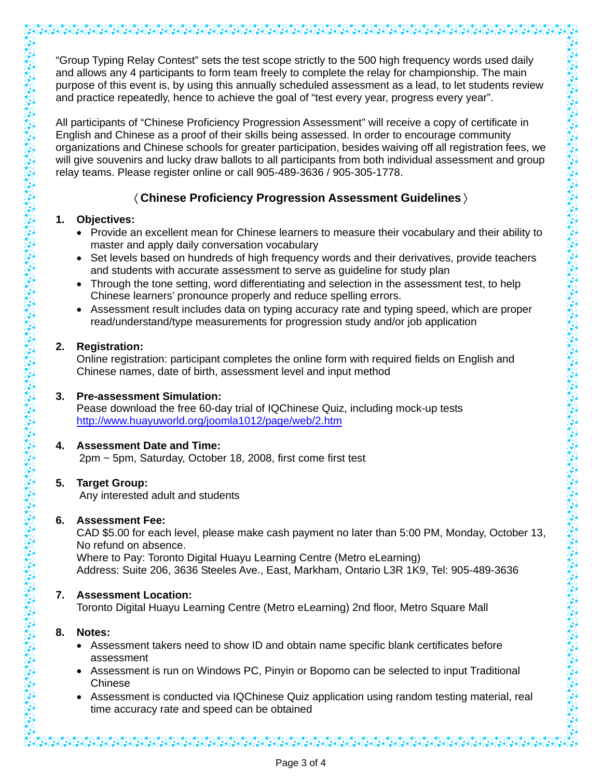"Group Typing Relay Contest" sets the test scope strictly to the 500 high frequency words used daily and allows any 4 participants to form team freely to complete the relay for championship. The main purpose of this event is, by using this annually scheduled assessment as a lead, to let students review and practice repeatedly, hence to achieve the goal of "test every year, progress every year".

All participants of "Chinese Proficiency Progression Assessment" will receive a copy of certificate in English and Chinese as a proof of their skills being assessed. In order to encourage community organizations and Chinese schools for greater participation, besides waiving off all registration fees, we will give souvenirs and lucky draw ballots to all participants from both individual assessment and group relay teams. Please register online or call 905-489-3636 / 905-305-1778.

## 〈**Chinese Proficiency Progression Assessment Guidelines**〉

### **1. Objectives:**

- Provide an excellent mean for Chinese learners to measure their vocabulary and their ability to master and apply daily conversation vocabulary
- Set levels based on hundreds of high frequency words and their derivatives, provide teachers and students with accurate assessment to serve as guideline for study plan
- Through the tone setting, word differentiating and selection in the assessment test, to help Chinese learners' pronounce properly and reduce spelling errors.
- Assessment result includes data on typing accuracy rate and typing speed, which are proper read/understand/type measurements for progression study and/or job application

### **2. Registration:**

 Online registration: participant completes the online form with required fields on English and Chinese names, date of birth, assessment level and input method

## **3. Pre-assessment Simulation:**

 Pease download the free 60-day trial of IQChinese Quiz, including mock-up tests http://www.huayuworld.org/joomla1012/page/web/2.htm

## **4. Assessment Date and Time:**

2pm ~ 5pm, Saturday, October 18, 2008, first come first test

### **5. Target Group:**

Any interested adult and students

### **6. Assessment Fee:**

 CAD \$5.00 for each level, please make cash payment no later than 5:00 PM, Monday, October 13, No refund on absence.

 Where to Pay: Toronto Digital Huayu Learning Centre (Metro eLearning) Address: Suite 206, 3636 Steeles Ave., East, Markham, Ontario L3R 1K9, Tel: 905-489-3636

## **7. Assessment Location:**

Toronto Digital Huayu Learning Centre (Metro eLearning) 2nd floor, Metro Square Mall

## **8. Notes:**

- Assessment takers need to show ID and obtain name specific blank certificates before assessment
- Assessment is run on Windows PC, Pinyin or Bopomo can be selected to input Traditional Chinese
- Assessment is conducted via IQChinese Quiz application using random testing material, real time accuracy rate and speed can be obtained